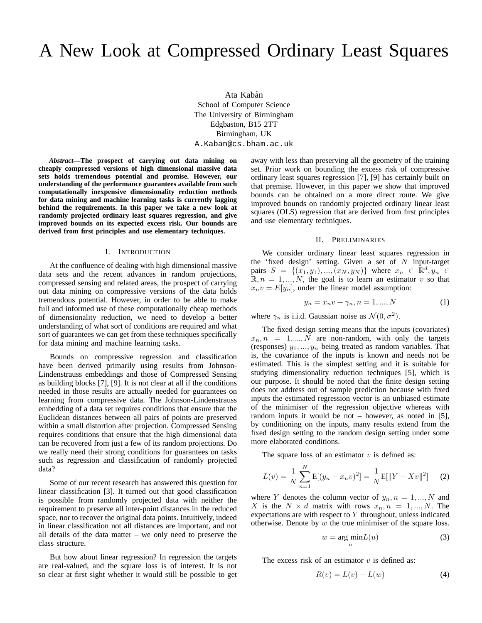# A New Look at Compressed Ordinary Least Squares

Ata Kabán School of Computer Science The University of Birmingham Edgbaston, B15 2TT Birmingham, UK A.Kaban@cs.bham.ac.uk

*Abstract***—The prospect of carrying out data mining on cheaply compressed versions of high dimensional massive data sets holds tremendous potential and promise. However, our understanding of the performance guarantees available from such computationally inexpensive dimensionality reduction methods for data mining and machine learning tasks is currently lagging behind the requirements. In this paper we take a new look at randomly projected ordinary least squares regression, and give improved bounds on its expected excess risk. Our bounds are derived from first principles and use elementary techniques.**

## I. INTRODUCTION

At the confluence of dealing with high dimensional massive data sets and the recent advances in random projections, compressed sensing and related areas, the prospect of carrying out data mining on compressive versions of the data holds tremendous potential. However, in order to be able to make full and informed use of these computationally cheap methods of dimensionality reduction, we need to develop a better understanding of what sort of conditions are required and what sort of guarantees we can get from these techniques specifically for data mining and machine learning tasks.

Bounds on compressive regression and classification have been derived primarily using results from Johnson-Lindenstrauss embeddings and those of Compressed Sensing as building blocks [7], [9]. It is not clear at all if the conditions needed in those results are actually needed for guarantees on learning from compressive data. The Johnson-Lindenstrauss embedding of a data set requires conditions that ensure that the Euclidean distances between all pairs of points are preserved within a small distortion after projection. Compressed Sensing requires conditions that ensure that the high dimensional data can be recovered from just a few of its random projections. Do we really need their strong conditions for guarantees on tasks such as regression and classification of randomly projected data?

Some of our recent research has answered this question for linear classification [3]. It turned out that good classification is possible from randomly projected data with neither the requirement to preserve all inter-point distances in the reduced space, nor to recover the original data points. Intuitively, indeed in linear classification not all distances are important, and not all details of the data matter – we only need to preserve the class structure.

But how about linear regression? In regression the targets are real-valued, and the square loss is of interest. It is not so clear at first sight whether it would still be possible to get away with less than preserving all the geometry of the training set. Prior work on bounding the excess risk of compressive ordinary least squares regression [7], [9] has certainly built on that premise. However, in this paper we show that improved bounds can be obtained on a more direct route. We give improved bounds on randomly projected ordinary linear least squares (OLS) regression that are derived from first principles and use elementary techniques.

#### II. PRELIMINARIES

We consider ordinary linear least squares regression in the 'fixed design' setting. Given a set of  $N$  input-target pairs  $S = \{(x_1, y_1), ..., (x_N, y_N)\}\$  where  $x_n \in \mathbb{R}^d, y_n \in$  $\mathbb{R}, n = 1, \ldots, N$ , the goal is to learn an estimator v so that  $x_n v = E[y_n]$ , under the linear model assumption:

$$
y_n = x_n v + \gamma_n, n = 1, ..., N
$$
 (1)

where  $\gamma_n$  is i.i.d. Gaussian noise as  $\mathcal{N}(0, \sigma^2)$ .

The fixed design setting means that the inputs (covariates)  $x_n, n = 1, ..., N$  are non-random, with only the targets (responses)  $y_1, ..., y_n$  being treated as random variables. That is, the covariance of the inputs is known and needs not be estimated. This is the simplest setting and it is suitable for studying dimensionality reduction techniques [5], which is our purpose. It should be noted that the finite design setting does not address out of sample prediction because with fixed inputs the estimated regression vector is an unbiased estimate of the minimiser of the regression objective whereas with random inputs it would be not – however, as noted in [5], by conditioning on the inputs, many results extend from the fixed design setting to the random design setting under some more elaborated conditions.

The square loss of an estimator  $v$  is defined as:

$$
L(v) = \frac{1}{N} \sum_{n=1}^{N} \mathbf{E}[(y_n - x_n v)^2] = \frac{1}{N} \mathbf{E}[\|Y - Xv\|^2]
$$
 (2)

where Y denotes the column vector of  $y_n, n = 1, ..., N$  and X is the  $N \times d$  matrix with rows  $x_n, n = 1, ..., N$ . The expectations are with respect to  $Y$  throughout, unless indicated otherwise. Denote by  $w$  the true minimiser of the square loss.

$$
w = \underset{u}{\arg\,\min} L(u) \tag{3}
$$

The excess risk of an estimator  $v$  is defined as:

$$
R(v) = L(v) - L(w) \tag{4}
$$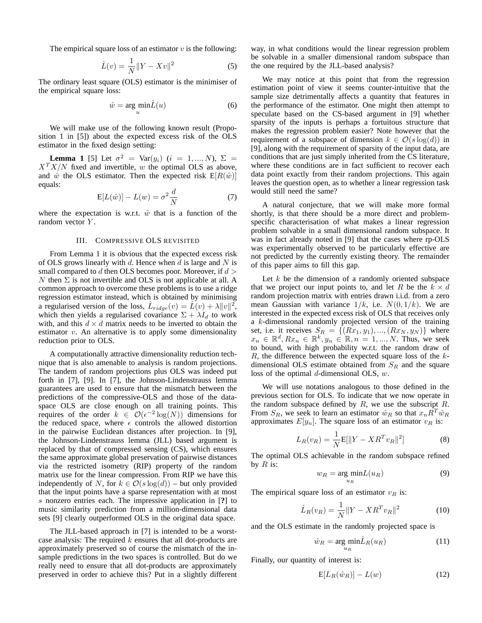The empirical square loss of an estimator  $v$  is the following:

$$
\hat{L}(v) = \frac{1}{N} ||Y - Xv||^2
$$
\n(5)

The ordinary least square (OLS) estimator is the minimiser of the empirical square loss:

$$
\hat{w} = \underset{u}{\arg\,\min} \hat{L}(u) \tag{6}
$$

We will make use of the following known result (Proposition 1 in [5]) about the expected excess risk of the OLS estimator in the fixed design setting:

**Lemma 1** [5] Let  $\sigma^2$  = Var(y<sub>i</sub>) (i = 1, ..., N),  $\Sigma$  =  $X<sup>T</sup>X/N$  fixed and invertible, w the optimal OLS as above, and  $\hat{w}$  the OLS estimator. Then the expected risk  $E[R(\hat{w})]$ equals:

$$
E[L(\hat{w})] - L(w) = \sigma^2 \frac{d}{N}
$$
 (7)

where the expectation is w.r.t.  $\hat{w}$  that is a function of the random vector Y.

## III. COMPRESSIVE OLS REVISITED

From Lemma 1 it is obvious that the expected excess risk of OLS grows linearly with  $d$ . Hence when  $d$  is large and  $N$  is small compared to  $d$  then OLS becomes poor. Moreover, if  $d >$ N then  $\Sigma$  is not invertible and OLS is not applicable at all. A common approach to overcome these problems is to use a ridge regression estimator instead, which is obtained by minimising a regularised version of the loss,  $\hat{L}_{ridge}(v) = \hat{L}(v) + \lambda ||v||^2$ , which then yields a regularised covariance  $\Sigma + \lambda I_d$  to work with, and this  $d \times d$  matrix needs to be inverted to obtain the estimator  $v$ . An alternative is to apply some dimensionality reduction prior to OLS.

A computationally attractive dimensionality reduction technique that is also amenable to analysis is random projections. The tandem of random projections plus OLS was indeed put forth in [7], [9]. In [7], the Johnson-Lindenstrauss lemma guarantees are used to ensure that the mismatch between the predictions of the compressive-OLS and those of the dataspace OLS are close enough on all training points. This requires of the order  $k \in \mathcal{O}(\epsilon^{-2} \log(N))$  dimensions for the reduced space, where  $\epsilon$  controls the allowed distortion in the pairwise Euclidean distances after projection. In [9], the Johnson-Lindenstrauss lemma (JLL) based argument is replaced by that of compressed sensing (CS), which ensures the same approximate global preservation of pairwise distances via the restricted isometry (RIP) property of the random matrix use for the linear compression. From RIP we have this independently of N, for  $k \in \mathcal{O}(s \log(d))$  – but only provided that the input points have a sparse representation with at most s nonzero entries each. The impressive application in [**?**] to music similarity prediction from a million-dimensional data sets [9] clearly outperformed OLS in the original data space.

The JLL-based approach in [7] is intended to be a worstcase analysis: The required  $k$  ensures that all dot-products are approximately preserved so of course the mismatch of the insample predictions in the two spaces is controlled. But do we really need to ensure that all dot-products are approximately preserved in order to achieve this? Put in a slightly different way, in what conditions would the linear regression problem be solvable in a smaller dimensional random subspace than the one required by the JLL-based analysis?

We may notice at this point that from the regression estimation point of view it seems counter-intuitive that the sample size detrimentally affects a quantity that features in the performance of the estimator. One might then attempt to speculate based on the CS-based argument in [9] whether sparsity of the inputs is perhaps a fortuitous structure that makes the regression problem easier? Note however that the requirement of a subspace of dimension  $k \in \mathcal{O}(s \log(d))$  in [9], along with the requirement of sparsity of the input data, are conditions that are just simply inherited from the CS literature, where these conditions are in fact sufficient to recover each data point exactly from their random projections. This again leaves the question open, as to whether a linear regression task would still need the same?

A natural conjecture, that we will make more formal shortly, is that there should be a more direct and problemspecific characterisation of what makes a linear regression problem solvable in a small dimensional random subspace. It was in fact already noted in [9] that the cases where rp-OLS was experimentally observed to be particularly effective are not predicted by the currently existing theory. The remainder of this paper aims to fill this gap.

Let  $k$  be the dimension of a randomly oriented subspace that we project our input points to, and let R be the  $k \times d$ random projection matrix with entries drawn i.i.d. from a zero mean Gaussian with variance  $1/k$ , i.e.  $N(0, 1/k)$ . We are interested in the expected excess risk of OLS that receives only a k-dimensional randomly projected version of the training set, i.e. it receives  $S_R = \{(Rx_1, y_1), ..., (Rx_N, y_N)\}\)$  where  $x_n \in \mathbb{R}^d, Rx_n \in \mathbb{R}^k, y_n \in \mathbb{R}, n = 1, ..., N$ . Thus, we seek to bound, with high probability w.r.t. the random draw of  $R$ , the difference between the expected square loss of the  $k$ dimensional OLS estimate obtained from  $S_R$  and the square loss of the optimal d-dimensional OLS, w.

We will use notations analogous to those defined in the previous section for OLS. To indicate that we now operate in the random subspace defined by  $R$ , we use the subscript  $R$ . From  $S_R$ , we seek to learn an estimator  $\hat{w}_R$  so that  $x_n R^T \hat{w}_R$ approximates  $E[y_n]$ . The square loss of an estimator  $v_R$  is:

$$
L_R(v_R) = \frac{1}{N} \mathbf{E}[\|Y - X R^T v_R\|^2]
$$
 (8)

The optimal OLS achievable in the random subspace refined by  $R$  is:

$$
w_R = \underset{u_R}{\text{arg min}} L(u_R) \tag{9}
$$

The empirical square loss of an estimator  $v_R$  is:

$$
\hat{L}_R(v_R) = \frac{1}{N} ||Y - X R^T v_R||^2
$$
\n(10)

and the OLS estimate in the randomly projected space is

$$
\hat{w}_R = \underset{u_R}{\arg \min} \hat{L}_R(u_R) \tag{11}
$$

Finally, our quantity of interest is:

$$
E[L_R(\hat{w}_R)] - L(w) \tag{12}
$$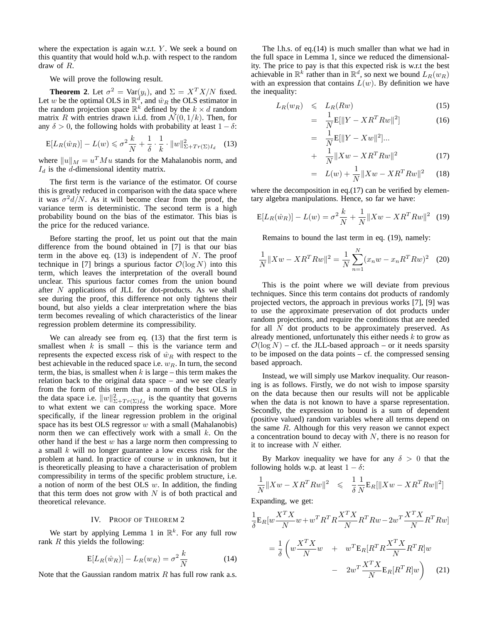where the expectation is again w.r.t.  $Y$ . We seek a bound on this quantity that would hold w.h.p. with respect to the random draw of R.

We will prove the following result.

**Theorem 2.** Let  $\sigma^2 = \text{Var}(y_i)$ , and  $\Sigma = X^T X/N$  fixed. Let w be the optimal OLS in  $\mathbb{R}^d$ , and  $\hat{w}_R$  the OLS estimator in the random projection space  $\mathbb{R}^k$  defined by the  $k \times d$  random matrix R with entries drawn i.i.d. from  $\mathcal{N}(0,1/k)$ . Then, for any  $\delta > 0$ , the following holds with probability at least  $1 - \delta$ :

$$
E[L_R(\hat{w}_R)] - L(w) \leq \sigma^2 \frac{k}{N} + \frac{1}{\delta} \cdot \frac{1}{k} \cdot \|w\|_{\Sigma + Tr(\Sigma)I_d}^2 \quad (13)
$$

where  $||u||_M = u^T M u$  stands for the Mahalanobis norm, and  $I_d$  is the d-dimensional identity matrix.

The first term is the variance of the estimator. Of course this is greatly reduced in comparison with the data space where it was  $\sigma^2 d/N$ . As it will become clear from the proof, the variance term is deterministic. The second term is a high probability bound on the bias of the estimator. This bias is the price for the reduced variance.

Before starting the proof, let us point out that the main difference from the bound obtained in [7] is that our bias term in the above eq.  $(13)$  is independent of N. The proof technique in [7] brings a spurious factor  $\mathcal{O}(\log N)$  into this term, which leaves the interpretation of the overall bound unclear. This spurious factor comes from the union bound after  $N$  applications of JLL for dot-products. As we shall see during the proof, this difference not only tightens their bound, but also yields a clear interpretation where the bias term becomes revealing of which characteristics of the linear regression problem determine its compressibility.

We can already see from eq. (13) that the first term is smallest when  $k$  is small – this is the variance term and represents the expected excess risk of  $\hat{w}_R$  with respect to the best achievable in the reduced space i.e.  $w_R$ . In turn, the second term, the bias, is smallest when  $k$  is large – this term makes the relation back to the original data space – and we see clearly from the form of this term that a norm of the best OLS in the data space i.e.  $||w||_{\Sigma+Tr(\Sigma)I_d}^2$  is the quantity that governs to what extent we can compress the working space. More specifically, if the linear regression problem in the original space has its best OLS regressor  $w$  with a small (Mahalanobis) norm then we can effectively work with a small  $k$ . On the other hand if the best  $w$  has a large norm then compressing to a small k will no longer guarantee a low excess risk for the problem at hand. In practice of course  $w$  in unknown, but it is theoretically pleasing to have a characterisation of problem compressibility in terms of the specific problem structure, i.e. a notion of norm of the best OLS  $w$ . In addition, the finding that this term does not grow with  $N$  is of both practical and theoretical relevance.

## IV. PROOF OF THEOREM 2

We start by applying Lemma 1 in  $\mathbb{R}^k$ . For any full row rank  $R$  this yields the following:

$$
E[L_R(\hat{w}_R)] - L_R(w_R) = \sigma^2 \frac{k}{N}
$$
 (14)

Note that the Gaussian random matrix  $R$  has full row rank a.s.

The l.h.s. of eq.(14) is much smaller than what we had in the full space in Lemma 1, since we reduced the dimensionality. The price to pay is that this expected risk is w.r.t the best achievable in  $\mathbb{R}^k$  rather than in  $\mathbb{R}^d$ , so next we bound  $L_R(w_R)$ with an expression that contains  $L(w)$ . By definition we have the inequality:

$$
L_R(w_R) \leqslant L_R(Rw) \tag{15}
$$

$$
= \frac{1}{N} \mathbf{E}[\|Y - X R^T R w\|^2] \tag{16}
$$

$$
= \frac{1}{N} \mathbf{E}[\|Y - Xw\|^2]...
$$

$$
+ \quad \frac{1}{N} \|Xw - XR^TRw\|^2 \tag{17}
$$

$$
= L(w) + \frac{1}{N} \|Xw - XR^TRw\|^2 \qquad (18)
$$

where the decomposition in eq.(17) can be verified by elementary algebra manipulations. Hence, so far we have:

$$
E[L_R(\hat{w}_R)] - L(w) = \sigma^2 \frac{k}{N} + \frac{1}{N} ||Xw - XR^T Rw||^2
$$
 (19)

Remains to bound the last term in eq. (19), namely:

$$
\frac{1}{N} ||Xw - XR^T Rw||^2 = \frac{1}{N} \sum_{n=1}^{N} (x_n w - x_n R^T Rw)^2
$$
 (20)

This is the point where we will deviate from previous techniques. Since this term contains dot products of randomly projected vectors, the approach in previous works [7], [9] was to use the approximate preservation of dot products under random projections, and require the conditions that are needed for all N dot products to be approximately preserved. As already mentioned, unfortunately this either needs  $k$  to grow as  $\mathcal{O}(\log N)$  – cf. the JLL-based approach – or it needs sparsity to be imposed on the data points – cf. the compressed sensing based approach.

Instead, we will simply use Markov inequality. Our reasoning is as follows. Firstly, we do not wish to impose sparsity on the data because then our results will not be applicable when the data is not known to have a sparse representation. Secondly, the expression to bound is a sum of dependent (positive valued) random variables where all terms depend on the same  $R$ . Although for this very reason we cannot expect a concentration bound to decay with  $N$ , there is no reason for it to increase with  $N$  either.

By Markov inequality we have for any  $\delta > 0$  that the following holds w.p. at least  $1 - \delta$ :

$$
\frac{1}{N} ||Xw - XR^TRw||^2 \leq \frac{1}{\delta} \frac{1}{N} \mathbf{E}_R[||Xw - XR^TRw||^2]
$$

Expanding, we get:

$$
\frac{1}{\delta} \mathbf{E}_R[w \frac{X^T X}{N} w + w^T R^T R \frac{X^T X}{N} R^T R w - 2w^T \frac{X^T X}{N} R^T R w]
$$
\n
$$
= \frac{1}{\delta} \left( w \frac{X^T X}{N} w + w^T \mathbf{E}_R [R^T R \frac{X^T X}{N} R^T R] w
$$
\n
$$
- 2w^T \frac{X^T X}{N} \mathbf{E}_R [R^T R] w \right) \tag{21}
$$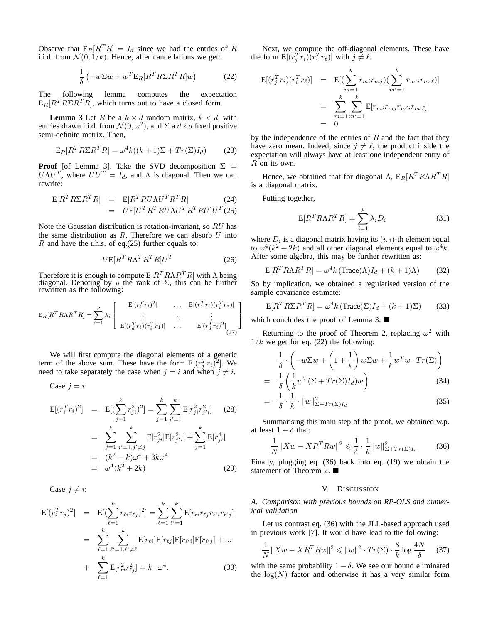Observe that  $E_R[R^TR] = I_d$  since we had the entries of R i.i.d. from  $\mathcal{N}(0, 1/k)$ . Hence, after cancellations we get:

$$
\frac{1}{\delta} \left( -w \Sigma w + w^T \mathbf{E}_R [R^T R \Sigma R^T R] w \right) \tag{22}
$$

The following lemma computes the expectation  $E_R[R^T R \Sigma R^T R]$ , which turns out to have a closed form.

**Lemma 3** Let R be a  $k \times d$  random matrix,  $k < d$ , with entries drawn i.i.d. from  $\mathcal{N}(0, \omega^2)$ , and  $\Sigma$  a  $d \times d$  fixed positive semi-definite matrix. Then,

$$
E_R[R^T R \Sigma R^T R] = \omega^4 k((k+1)\Sigma + Tr(\Sigma)I_d)
$$
 (23)

**Proof** [of Lemma 3]. Take the SVD decomposition  $\Sigma$  =  $U\Lambda U^{T}$ , where  $UU^{T} = I_{d}$ , and  $\Lambda$  is diagonal. Then we can rewrite:

$$
E[R^T R \Sigma R^T R] = E[R^T R U \Lambda U^T R^T R]
$$
\n
$$
= U E[U^T R^T R U \Lambda U^T R^T R U] U^T (25)
$$

Note the Gaussian distribution is rotation-invariant, so RU has the same distribution as  $R$ . Therefore we can absorb  $U$  into  $R$  and have the r.h.s. of eq.(25) further equals to:

$$
U E[R^T R \Lambda^T R^T R] U^T \tag{26}
$$

Therefore it is enough to compute  $E[R^T R \Lambda R^T R]$  with  $\Lambda$  being diagonal. Denoting by  $\rho$  the rank of  $\Sigma$ , this can be further rewritten as the following:

$$
E_R[R^TR\Lambda R^TR] = \sum_{i=1}^{\rho} \lambda_i \begin{bmatrix} E[(r_1^Tr_i)^2] & \cdots & E[(r_1^Tr_i)(r_i^Tr_d)] \\ \vdots & \ddots & \vdots \\ E[(r_d^Tr_i)(r_i^Tr_1)] & \cdots & E[(r_d^Tr_i)^2] \\ \end{bmatrix}
$$

We will first compute the diagonal elements of a generic term of the above sum. These have the form  $E[(r_j^T r_i)^2]$ . We need to take separately the case when  $j = i$  and when  $j \neq i$ .

Case 
$$
j = i
$$
:

$$
E[(r_i^T r_i)^2] = E[(\sum_{j=1}^k r_{ji}^2)^2] = \sum_{j=1}^k \sum_{j'=1}^k E[r_{ji}^2 r_{j'i}^2]
$$
 (28)  

$$
= \sum_{j=1}^k \sum_{j'=1, j'\neq j}^k E[r_{ji}^2] E[r_{j'i}^2] + \sum_{j=1}^k E[r_{ji}^4]
$$
  

$$
= (k^2 - k)\omega^4 + 3k\omega^4
$$
  

$$
= \omega^4(k^2 + 2k)
$$
 (29)

Case  $j \neq i$ :

$$
E[(r_i^T r_j)^2] = E[(\sum_{\ell=1}^k r_{\ell i} r_{\ell j})^2] = \sum_{\ell=1}^k \sum_{\ell'=1}^k E[r_{\ell i} r_{\ell j} r_{\ell' i} r_{\ell' j}]
$$
  

$$
= \sum_{\ell=1}^k \sum_{\ell'=1, \ell' \neq \ell}^k E[r_{\ell i}] E[r_{\ell j}] E[r_{\ell' i}] E[r_{\ell' j}] + ...
$$
  

$$
+ \sum_{\ell=1}^k E[r_{\ell i}^2 r_{\ell j}^2] = k \cdot \omega^4.
$$
 (30)

Next, we compute the off-diagonal elements. These have the form  $E[(r_j^T r_i)(r_i^T r_\ell)]$  with  $j \neq \ell$ .

$$
E[(r_j^T r_i)(r_i^T r_\ell)] = E[(\sum_{m=1}^k r_{mi} r_{mj})(\sum_{m'=1}^k r_{m'i} r_{m'\ell})]
$$
  
= 
$$
\sum_{m=1}^k \sum_{m'=1}^k E[r_{mi} r_{mj} r_{m'i} r_{m'\ell}]
$$
  
= 0

by the independence of the entries of  $R$  and the fact that they have zero mean. Indeed, since  $j \neq \ell$ , the product inside the expectation will always have at least one independent entry of R on its own.

Hence, we obtained that for diagonal  $\Lambda$ ,  $E_R[R^TR\Lambda R^TR]$ is a diagonal matrix.

Putting together,

$$
E[R^T R \Lambda R^T R] = \sum_{i=1}^{\rho} \lambda_i D_i
$$
 (31)

where  $D_i$  is a diagonal matrix having its  $(i, i)$ -th element equal to  $\omega^4(k^2+2k)$  and all other diagonal elements equal to  $\omega^4k$ . After some algebra, this may be further rewritten as:

$$
E[R^T R \Lambda R^T R] = \omega^4 k \left( \text{Trace}(\Lambda) I_d + (k+1) \Lambda \right) \tag{32}
$$

So by implication, we obtained a regularised version of the sample covariance estimate:

$$
E[R^T R \Sigma R^T R] = \omega^4 k \left( \text{Trace}(\Sigma) I_d + (k+1)\Sigma \right) \tag{33}
$$

which concludes the proof of Lemma 3.  $\blacksquare$ 

Returning to the proof of Theorem 2, replacing  $\omega^2$  with  $1/k$  we get for eq. (22) the following:

$$
\frac{1}{\delta} \cdot \left( -w \Sigma w + \left( 1 + \frac{1}{k} \right) w \Sigma w + \frac{1}{k} w^T w \cdot Tr(\Sigma) \right)
$$
\n
$$
= \frac{1}{\delta} \left( \frac{1}{k} w^T (\Sigma + Tr(\Sigma) I_d) w \right) \tag{34}
$$

$$
= \frac{1}{\delta} \cdot \frac{1}{k} \cdot ||w||_{\Sigma + Tr(\Sigma)I_d}^2 \tag{35}
$$

Summarising this main step of the proof, we obtained w.p. at least  $1 - \delta$  that:

$$
\frac{1}{N}||Xw - XR^TRw||^2 \leq \frac{1}{\delta} \cdot \frac{1}{k}||w||^2_{\Sigma + Tr(\Sigma)I_d}
$$
 (36)

Finally, plugging eq. (36) back into eq. (19) we obtain the statement of Theorem 2.  $\blacksquare$ 

# V. DISCUSSION

## *A. Comparison with previous bounds on RP-OLS and numerical validation*

Let us contrast eq. (36) with the JLL-based approach used in previous work [7]. It would have lead to the following:

$$
\frac{1}{N} \|Xw - XR^TRw\|^2 \le \|w\|^2 \cdot Tr(\Sigma) \cdot \frac{8}{k} \log \frac{4N}{\delta} \tag{37}
$$

with the same probability  $1 - \delta$ . We see our bound eliminated the  $log(N)$  factor and otherwise it has a very similar form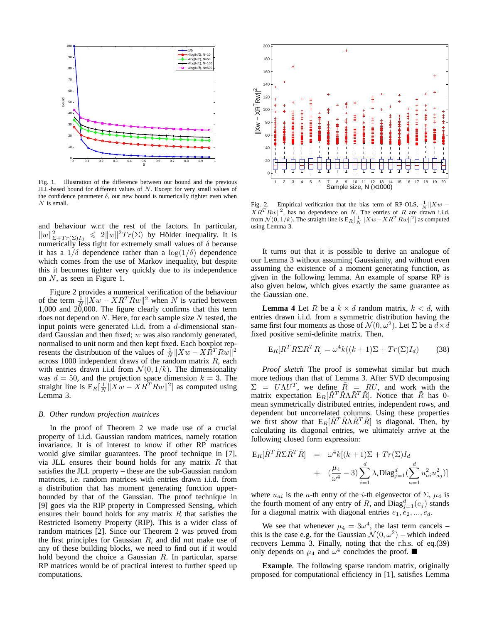

Fig. 1. Illustration of the difference between our bound and the previous JLL-based bound for different values of N. Except for very small values of the confidence parameter  $\delta$ , our new bound is numerically tighter even when  $N$  is small.

and behaviour w.r.t the rest of the factors. In particular,  $||w||_{\Sigma+Tr(\Sigma)I_d}^2 \leq 2||w||^2Tr(\Sigma)$  by Hölder inequality. It is numerically less tight for extremely small values of  $\delta$  because it has a  $1/\delta$  dependence rather than a  $\log(1/\delta)$  dependence which comes from the use of Markov inequality, but despite this it becomes tighter very quickly due to its independence on N, as seen in Figure 1.

Figure 2 provides a numerical verification of the behaviour of the term  $\frac{1}{N}||Xw - XR^{T}Rw||^{2}$  when N is varied between 1,000 and 20,000. The figure clearly confirms that this term does not depend on  $N$ . Here, for each sample size  $N$  tested, the input points were generated i.i.d. from a  $d$ -dimensional standard Gaussian and then fixed;  $w$  was also randomly generated, normalised to unit norm and then kept fixed. Each boxplot represents the distribution of the values of  $\frac{1}{N} || Xw - X \hat{R}^T Rw ||^2$ across 1000 independent draws of the random matrix  $R$ , each with entries drawn i.i.d from  $\mathcal{N}(0, 1/k)$ . The dimensionality was  $d = 50$ , and the projection space dimension  $k = 3$ . The straight line is  $E_R[\frac{1}{N} \|\tilde{Xw} - XR^T Rw\|^2]$  as computed using Lemma 3.

#### *B. Other random projection matrices*

In the proof of Theorem 2 we made use of a crucial property of i.i.d. Gaussian random matrices, namely rotation invariance. It is of interest to know if other RP matrices would give similar guarantees. The proof technique in [7], via JLL ensures their bound holds for any matrix  $R$  that satisfies the JLL property – these are the sub-Gaussian random matrices, i.e. random matrices with entries drawn i.i.d. from a distribution that has moment generating function upperbounded by that of the Gaussian. The proof technique in [9] goes via the RIP property in Compressed Sensing, which ensures their bound holds for any matrix  $R$  that satisfies the Restricted Isometry Property (RIP). This is a wider class of random matrices [2]. Since our Theorem 2 was proved from the first principles for Gaussian  $R$ , and did not make use of any of these building blocks, we need to find out if it would hold beyond the choice a Gaussian  $R$ . In particular, sparse RP matrices would be of practical interest to further speed up computations.



Fig. 2. Empirical verification that the bias term of RP-OLS,  $\frac{1}{N}||Xw XR^T R w ||^2$ , has no dependence on N. The entries of R are drawn i.i.d. from  $\mathcal{N}(0, 1/k)$ . The straight line is  $E_R[\frac{1}{N} || Xw-XR^T Rw ||^2]$  as computed using Lemma 3.

It turns out that it is possible to derive an analogue of our Lemma 3 without assuming Gaussianity, and without even assuming the existence of a moment generating function, as given in the following lemma. An example of sparse RP is also given below, which gives exactly the same guarantee as the Gaussian one.

**Lemma 4** Let R be a  $k \times d$  random matrix,  $k < d$ , with entries drawn i.i.d. from a symmetric distribution having the same first four moments as those of  $\mathcal{N}(0, \omega^2)$ . Let  $\Sigma$  be a  $d \times d$ fixed positive semi-definite matrix. Then,

$$
E_R[R^T R \Sigma R^T R] = \omega^4 k((k+1)\Sigma + Tr(\Sigma)I_d)
$$
 (38)

*Proof sketch* The proof is somewhat similar but much more tedious than that of Lemma 3. After SVD decomposing  $\Sigma = U \Lambda U^T$ , we define  $\tilde{R} = R U$ , and work with the matrix expectation  $E_R[\tilde{R}^T \tilde{R} \Lambda \tilde{R}^T \tilde{R}]$ . Notice that  $\tilde{R}$  has 0mean symmetrically distributed entries, independent rows, and dependent but uncorrelated columns. Using these properties we first show that  $E_R[\tilde{R}^T\tilde{R}\Lambda\tilde{R}^T\tilde{R}]$  is diagonal. Then, by calculating its diagonal entries, we ultimately arrive at the following closed form expression:

$$
E_R[\tilde{R}^T \tilde{R} \Sigma \tilde{R}^T \tilde{R}] = \omega^4 k[(k+1)\Sigma + Tr(\Sigma)I_d
$$
  
+ 
$$
(\frac{\mu_4}{\omega^4} - 3) \sum_{i=1}^d \lambda_i \text{Diag}_{j=1}^d (\sum_{a=1}^d u_{ai}^2 u_{aj}^2)]
$$

where  $u_{ai}$  is the a-th entry of the *i*-th eigenvector of  $\Sigma$ ,  $\mu_4$  is the fourth moment of any entry of R, and  $Diag_{j=1}^d(e_j)$  stands for a diagonal matrix with diagonal entries  $e_1, e_2, ..., e_d$ .

We see that whenever  $\mu_4 = 3\omega^4$ , the last term cancels – this is the case e.g. for the Gaussian  $\mathcal{N}(0, \omega^2)$  – which indeed recovers Lemma 3. Finally, noting that the r.h.s. of eq.(39) only depends on  $\mu_4$  and  $\omega^4$  concludes the proof.  $\blacksquare$ 

**Example**. The following sparse random matrix, originally proposed for computational efficiency in [1], satisfies Lemma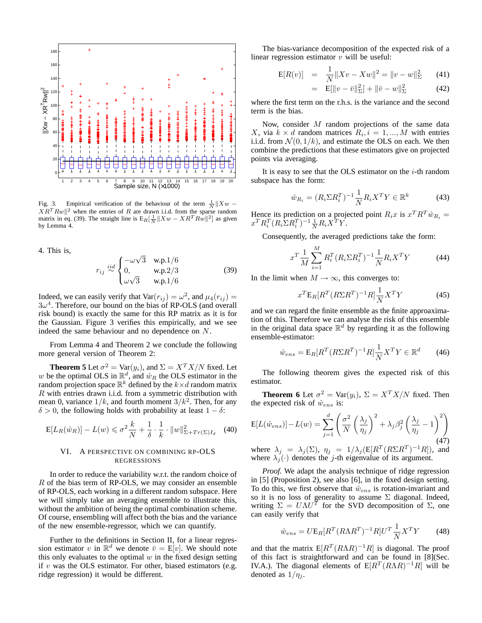

Fig. 3. Empirical verification of the behaviour of the term  $\frac{1}{N}||Xw - \frac{1}{N}||Xw - \frac{1}{N}||Xw - \frac{1}{N}||Xw - \frac{1}{N}||Xw - \frac{1}{N}||Xw - \frac{1}{N}||Xw - \frac{1}{N}||Xw - \frac{1}{N}||Xw - \frac{1}{N}||Xw - \frac{1}{N}||Xw - \frac{1}{N}||Xw - \frac{1}{N}||Xw - \frac{1}{N}||Xw - \frac{1}{N$  $X R^{T} R w ||^{2}$  when the entries of R are drawn i.i.d. from the sparse random matrix in eq. (39). The straight line is  $E_R[\frac{1}{N} || Xw - XR^T Rw ||^2]$  as given by Lemma 4.

4. This is,

$$
r_{ij} \stackrel{iid}{\sim} \begin{cases} -\omega\sqrt{3} & \text{w.p.1/6} \\ 0, & \text{w.p.2/3} \\ \omega\sqrt{3} & \text{w.p.1/6} \end{cases}
$$
 (39)

Indeed, we can easily verify that  $Var(r_{ij}) = \omega^2$ , and  $\mu_4(r_{ij}) =$  $3\omega^4$ . Therefore, our bound on the bias of RP-OLS (and overall risk bound) is exactly the same for this RP matrix as it is for the Gaussian. Figure 3 verifies this empirically, and we see indeed the same behaviour and no dependence on N.

From Lemma 4 and Theorem 2 we conclude the following more general version of Theorem 2:

**Theorem 5** Let  $\sigma^2 = \text{Var}(y_i)$ , and  $\Sigma = X^T X/N$  fixed. Let w be the optimal OLS in  $\mathbb{R}^d$ , and  $\hat{w}_R$  the OLS estimator in the random projection space  $\mathbb{R}^k$  defined by the  $k \times d$  random matrix R with entries drawn i.i.d. from a symmetric distribution with mean 0, variance  $1/k$ , and fourth moment  $3/k<sup>2</sup>$ . Then, for any  $\delta > 0$ , the following holds with probability at least  $1 - \delta$ :

$$
\mathbb{E}[L_R(\hat{w}_R)] - L(w) \leq \sigma^2 \frac{k}{N} + \frac{1}{\delta} \cdot \frac{1}{k} \cdot \|w\|_{\Sigma + Tr(\Sigma)I_d}^2 \quad (40)
$$

## VI. A PERSPECTIVE ON COMBINING RP-OLS REGRESSIONS

In order to reduce the variability w.r.t. the random choice of R of the bias term of RP-OLS, we may consider an ensemble of RP-OLS, each working in a different random subspace. Here we will simply take an averaging ensemble to illustrate this, without the ambition of being the optimal combination scheme. Of course, ensembling will affect both the bias and the variance of the new ensemble-regressor, which we can quantify.

Further to the definitions in Section II, for a linear regression estimator v in  $\mathbb{R}^d$  we denote  $\overline{v} = \mathbb{E}[v]$ . We should note this only evaluates to the optimal  $w$  in the fixed design setting if  $v$  was the OLS estimator. For other, biased estimators (e.g. ridge regression) it would be different.

The bias-variance decomposition of the expected risk of a linear regression estimator  $v$  will be useful:

$$
E[R(v)] = \frac{1}{N} ||Xv - Xw||^2 = ||v - w||^2_{\Sigma}
$$
 (41)  
= 
$$
E[||v - \bar{w}||^2] + ||\bar{w} - w||^2
$$
 (42)

$$
= \mathbf{E}[\|v - \bar{v}\|_{\Sigma}^{2}] + \|\bar{v} - w\|_{\Sigma}^{2} \tag{42}
$$

where the first term on the r.h.s. is the variance and the second term is the bias.

Now, consider M random projections of the same data X, via  $k \times d$  random matrices  $R_i$ ,  $i = 1, ..., M$  with entries i.i.d. from  $\mathcal{N}(0, 1/k)$ , and estimate the OLS on each. We then combine the predictions that these estimators give on projected points via averaging.

It is easy to see that the OLS estimator on the  $i$ -th random subspace has the form:

$$
\hat{w}_{R_i} = (R_i \Sigma R_i^T)^{-1} \frac{1}{N} R_i X^T Y \in \mathbb{R}^k \tag{43}
$$

Hence its prediction on a projected point  $R_ix$  is  $x^TR^T\hat{w}_{R_i} =$  $x^T R_i^T (R_i \Sigma R_i^T)^{-1} \frac{1}{N} R_i X^T Y.$ 

Consequently, the averaged predictions take the form:

$$
x^T \frac{1}{M} \sum_{i=1}^{M} R_i^T (R_i \Sigma R_i^T)^{-1} \frac{1}{N} R_i X^T Y \tag{44}
$$

In the limit when  $M \to \infty$ , this converges to:

$$
x^T \mathbf{E}_R [R^T (R \Sigma R^T)^{-1} R] \frac{1}{N} X^T Y \tag{45}
$$

and we can regard the finite ensemble as the finite approaximation of this. Therefore we can analyse the risk of this ensemble in the original data space  $\mathbb{R}^d$  by regarding it as the following ensemble-estimator:

$$
\hat{w}_{ens} = \mathbf{E}_R [R^T (R \Sigma R^T)^{-1} R] \frac{1}{N} X^T Y \in \mathbb{R}^d \qquad (46)
$$

The following theorem gives the expected risk of this estimator.

**Theorem 6** Let  $\sigma^2 = \text{Var}(y_i)$ ,  $\Sigma = X^T X/N$  fixed. Then the expected risk of  $\hat{w}_{ens}$  is:

$$
E[L(\hat{w}_{ens})] - L(w) = \sum_{j=1}^{d} \left( \frac{\sigma^2}{N} \left( \frac{\lambda_j}{\eta_j} \right)^2 + \lambda_j \beta_j^2 \left( \frac{\lambda_j}{\eta_j} - 1 \right)^2 \right)
$$
(47)

where  $\lambda_j = \lambda_j(\Sigma)$ ,  $\eta_j = 1/\lambda_j(\mathbb{E}[R^T(R\Sigma R^T)^{-1}R])$ , and where  $\lambda_i(\cdot)$  denotes the *j*-th eigenvalue of its argument.

*Proof.* We adapt the analysis technique of ridge regression in [5] (Proposition 2), see also [6], in the fixed design setting. To do this, we first observe that  $\hat{w}_{ens}$  is rotation-invariant and so it is no loss of generality to assume  $\Sigma$  diagonal. Indeed, writing  $\Sigma = U \Lambda U^T$  for the SVD decomposition of  $\Sigma$ , one can easily verify that

$$
\hat{w}_{ens} = U \mathbf{E}_R [R^T (R \Lambda R^T)^{-1} R] U^T \frac{1}{N} X^T Y \tag{48}
$$

and that the matrix  $E[R^T(R\Lambda R)^{-1}R]$  is diagonal. The proof of this fact is straightforward and can be found in [8](Sec. IV.A.). The diagonal elements of  $E[R^T(R\Lambda R)^{-1}R]$  will be denoted as  $1/\eta_j$ .